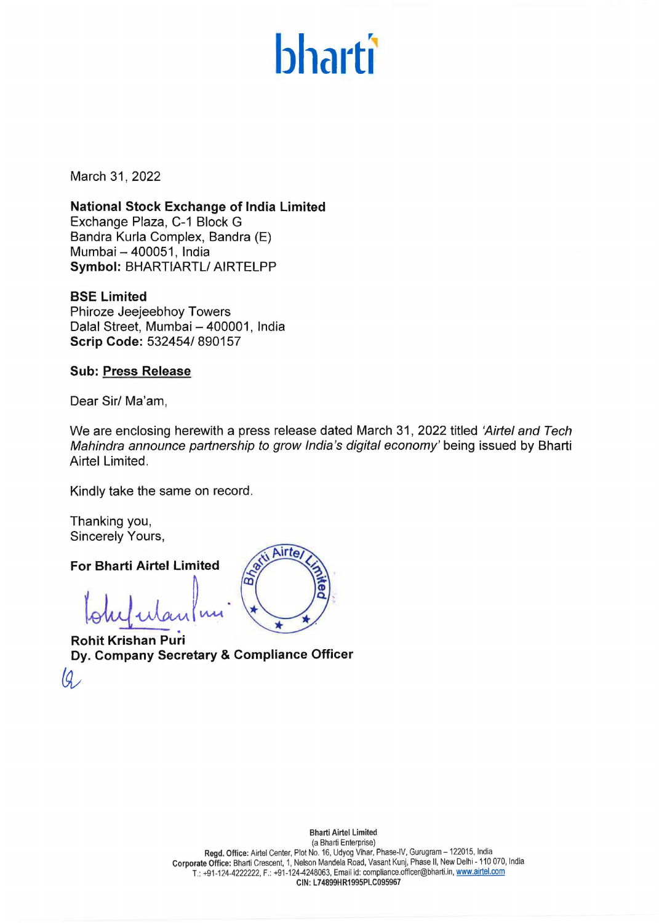# **bharti**

March 31, 2022

**National Stock Exchange of India limited**  Exchange Plaza, C-1 Block G Sandra Kurla Complex, Bandra (E) Mumbai - 400051, India **Symbol:** BHARTIARTL/ AIRTELPP

**BSE Limited**  Phiroze Jeejeebhoy Towers Dalal Street, Mumbai - 400001, India **Scrip Code:** 532454/ 890157

**Sub: Press Release** 

Dear Sir/ Ma'am,

We are enclosing herewith a press release dated March 31, 2022 titled 'Airtel and Tech Mahindra announce partnership to grow India's digital economy' being issued by Bharti Airtel Limited.

Kindly take the same on record.

Thanking you, Sincerely Yours,

**For Bharti Airtel Limited** 

anking you,<br>
ncerely Yours,<br>
r Bharti Airtel Limited<br>
olug ulan | un Martin<br>
bhit Krishan Puri

**Rohit Krishan Puri Dy. Company Secretary & Compliance Officer** 

Airte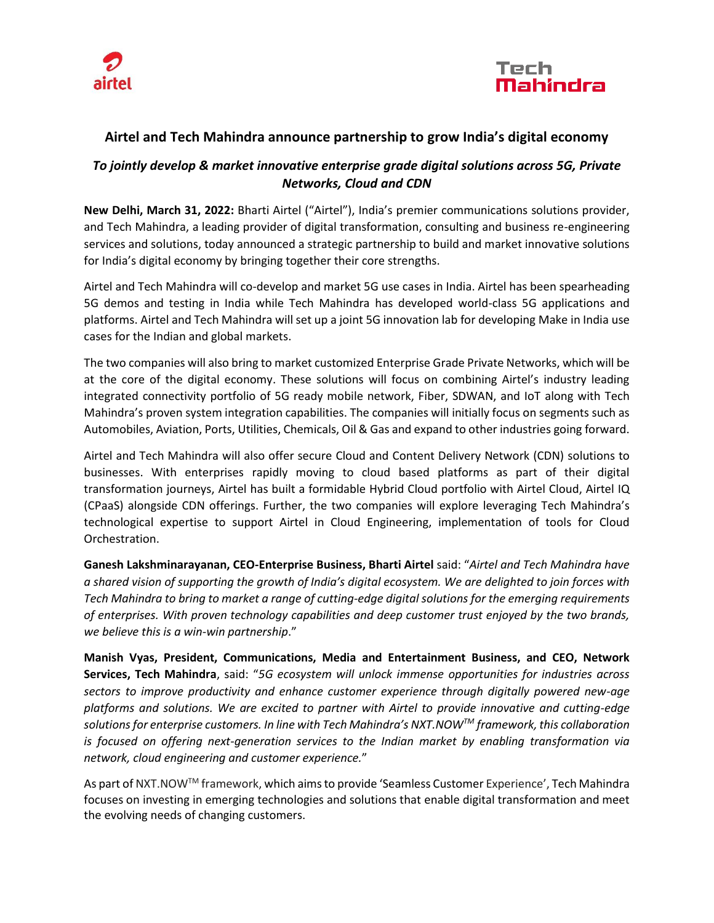



### **Airtel and Tech Mahindra announce partnership to grow India's digital economy**

## *To jointly develop & market innovative enterprise grade digital solutions across 5G, Private Networks, Cloud and CDN*

**New Delhi, March 31, 2022:** Bharti Airtel ("Airtel"), India's premier communications solutions provider, and Tech Mahindra, a leading provider of digital transformation, consulting and business re-engineering services and solutions, today announced a strategic partnership to build and market innovative solutions for India's digital economy by bringing together their core strengths.

Airtel and Tech Mahindra will co-develop and market 5G use cases in India. Airtel has been spearheading 5G demos and testing in India while Tech Mahindra has developed world-class 5G applications and platforms. Airtel and Tech Mahindra will set up a joint 5G innovation lab for developing Make in India use cases for the Indian and global markets.

The two companies will also bring to market customized Enterprise Grade Private Networks, which will be at the core of the digital economy. These solutions will focus on combining Airtel's industry leading integrated connectivity portfolio of 5G ready mobile network, Fiber, SDWAN, and IoT along with Tech Mahindra's proven system integration capabilities. The companies will initially focus on segments such as Automobiles, Aviation, Ports, Utilities, Chemicals, Oil & Gas and expand to other industries going forward.

Airtel and Tech Mahindra will also offer secure Cloud and Content Delivery Network (CDN) solutions to businesses. With enterprises rapidly moving to cloud based platforms as part of their digital transformation journeys, Airtel has built a formidable Hybrid Cloud portfolio with Airtel Cloud, Airtel IQ (CPaaS) alongside CDN offerings. Further, the two companies will explore leveraging Tech Mahindra's technological expertise to support Airtel in Cloud Engineering, implementation of tools for Cloud Orchestration.

**Ganesh Lakshminarayanan, CEO-Enterprise Business, Bharti Airtel** said: "*Airtel and Tech Mahindra have a shared vision of supporting the growth of India's digital ecosystem. We are delighted to join forces with Tech Mahindra to bring to market a range of cutting-edge digital solutions for the emerging requirements of enterprises. With proven technology capabilities and deep customer trust enjoyed by the two brands, we believe this is a win-win partnership*."

**Manish Vyas, President, Communications, Media and Entertainment Business, and CEO, Network Services, Tech Mahindra**, said: "*5G ecosystem will unlock immense opportunities for industries across sectors to improve productivity and enhance customer experience through digitally powered new-age platforms and solutions. We are excited to partner with Airtel to provide innovative and cutting-edge solutions for enterprise customers. In line with Tech Mahindra's NXT.NOWTM framework, this collaboration is focused on offering next-generation services to the Indian market by enabling transformation via network, cloud engineering and customer experience.*"

As part of NXT.NOWTM framework, which aims to provide 'Seamless Customer Experience', Tech Mahindra focuses on investing in emerging technologies and solutions that enable digital transformation and meet the evolving needs of changing customers.